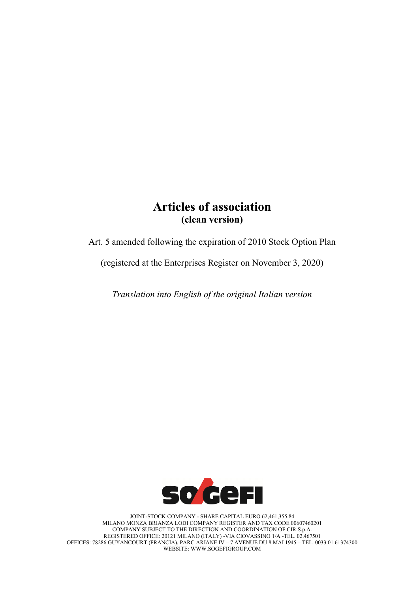# **Articles of association (clean version)**

Art. 5 amended following the expiration of 2010 Stock Option Plan

(registered at the Enterprises Register on November 3, 2020)

*Translation into English of the original Italian version*



JOINT-STOCK COMPANY - SHARE CAPITAL EURO 62,461,355.84 MILANO MONZA BRIANZA LODI COMPANY REGISTER AND TAX CODE 00607460201 COMPANY SUBJECT TO THE DIRECTION AND COORDINATION OF CIR S.p.A. REGISTERED OFFICE: 20121 MILANO (ITALY) -VIA CIOVASSINO 1/A -TEL. 02.467501 OFFICES: 78286 GUYANCOURT (FRANCIA), PARC ARIANE IV – 7 AVENUE DU 8 MAI 1945 – TEL. 0033 01 61374300 WEBSITE: [WWW.SOGEFIGROUP.COM](http://www.sogefigroup.com/)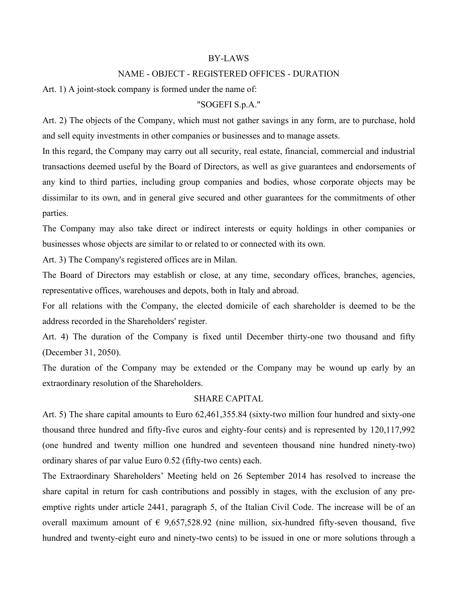#### BY-LAWS

# NAME - OBJECT - REGISTERED OFFICES - DURATION

Art. 1) A joint-stock company is formed under the name of:

#### "SOGEFI S.p.A."

Art. 2) The objects of the Company, which must not gather savings in any form, are to purchase, hold and sell equity investments in other companies or businesses and to manage assets.

In this regard, the Company may carry out all security, real estate, financial, commercial and industrial transactions deemed useful by the Board of Directors, as well as give guarantees and endorsements of any kind to third parties, including group companies and bodies, whose corporate objects may be dissimilar to its own, and in general give secured and other guarantees for the commitments of other parties.

The Company may also take direct or indirect interests or equity holdings in other companies or businesses whose objects are similar to or related to or connected with its own.

Art. 3) The Company's registered offices are in Milan.

The Board of Directors may establish or close, at any time, secondary offices, branches, agencies, representative offices, warehouses and depots, both in Italy and abroad.

For all relations with the Company, the elected domicile of each shareholder is deemed to be the address recorded in the Shareholders' register.

Art. 4) The duration of the Company is fixed until December thirty-one two thousand and fifty (December 31, 2050).

The duration of the Company may be extended or the Company may be wound up early by an extraordinary resolution of the Shareholders.

## SHARE CAPITAL

Art. 5) The share capital amounts to Euro 62,461,355.84 (sixty-two million four hundred and sixty-one thousand three hundred and fifty-five euros and eighty-four cents) and is represented by 120,117,992 (one hundred and twenty million one hundred and seventeen thousand nine hundred ninety-two) ordinary shares of par value Euro 0.52 (fifty-two cents) each.

The Extraordinary Shareholders' Meeting held on 26 September 2014 has resolved to increase the share capital in return for cash contributions and possibly in stages, with the exclusion of any preemptive rights under article 2441, paragraph 5, of the Italian Civil Code. The increase will be of an overall maximum amount of  $\epsilon$  9.657,528.92 (nine million, six-hundred fifty-seven thousand, five hundred and twenty-eight euro and ninety-two cents) to be issued in one or more solutions through a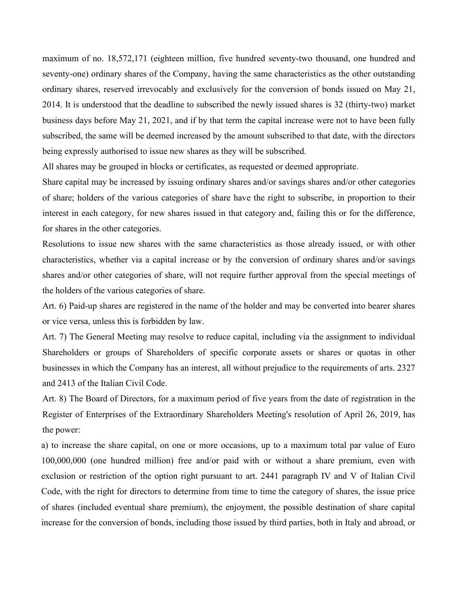maximum of no. 18,572,171 (eighteen million, five hundred seventy-two thousand, one hundred and seventy-one) ordinary shares of the Company, having the same characteristics as the other outstanding ordinary shares, reserved irrevocably and exclusively for the conversion of bonds issued on May 21, 2014. It is understood that the deadline to subscribed the newly issued shares is 32 (thirty-two) market business days before May 21, 2021, and if by that term the capital increase were not to have been fully subscribed, the same will be deemed increased by the amount subscribed to that date, with the directors being expressly authorised to issue new shares as they will be subscribed.

All shares may be grouped in blocks or certificates, as requested or deemed appropriate.

Share capital may be increased by issuing ordinary shares and/or savings shares and/or other categories of share; holders of the various categories of share have the right to subscribe, in proportion to their interest in each category, for new shares issued in that category and, failing this or for the difference, for shares in the other categories.

Resolutions to issue new shares with the same characteristics as those already issued, or with other characteristics, whether via a capital increase or by the conversion of ordinary shares and/or savings shares and/or other categories of share, will not require further approval from the special meetings of the holders of the various categories of share.

Art. 6) Paid-up shares are registered in the name of the holder and may be converted into bearer shares or vice versa, unless this is forbidden by law.

Art. 7) The General Meeting may resolve to reduce capital, including via the assignment to individual Shareholders or groups of Shareholders of specific corporate assets or shares or quotas in other businesses in which the Company has an interest, all without prejudice to the requirements of arts. 2327 and 2413 of the Italian Civil Code.

Art. 8) The Board of Directors, for a maximum period of five years from the date of registration in the Register of Enterprises of the Extraordinary Shareholders Meeting's resolution of April 26, 2019, has the power:

a) to increase the share capital, on one or more occasions, up to a maximum total par value of Euro 100,000,000 (one hundred million) free and/or paid with or without a share premium, even with exclusion or restriction of the option right pursuant to art. 2441 paragraph IV and V of Italian Civil Code, with the right for directors to determine from time to time the category of shares, the issue price of shares (included eventual share premium), the enjoyment, the possible destination of share capital increase for the conversion of bonds, including those issued by third parties, both in Italy and abroad, or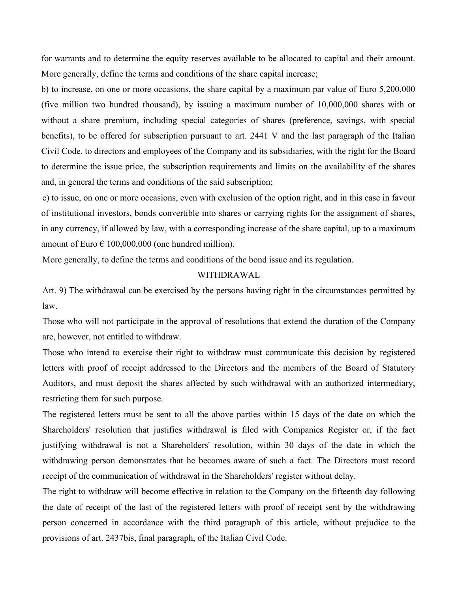for warrants and to determine the equity reserves available to be allocated to capital and their amount. More generally, define the terms and conditions of the share capital increase;

b) to increase, on one or more occasions, the share capital by a maximum par value of Euro 5,200,000 (five million two hundred thousand), by issuing a maximum number of 10,000,000 shares with or without a share premium, including special categories of shares (preference, savings, with special benefits), to be offered for subscription pursuant to art. 2441 V and the last paragraph of the Italian Civil Code, to directors and employees of the Company and its subsidiaries, with the right for the Board to determine the issue price, the subscription requirements and limits on the availability of the shares and, in general the terms and conditions of the said subscription;

c) to issue, on one or more occasions, even with exclusion of the option right, and in this case in favour of institutional investors, bonds convertible into shares or carrying rights for the assignment of shares, in any currency, if allowed by law, with a corresponding increase of the share capital, up to a maximum amount of Euro  $\epsilon$  100,000,000 (one hundred million).

More generally, to define the terms and conditions of the bond issue and its regulation.

# WITHDRAWAL

Art. 9) The withdrawal can be exercised by the persons having right in the circumstances permitted by law.

Those who will not participate in the approval of resolutions that extend the duration of the Company are, however, not entitled to withdraw.

Those who intend to exercise their right to withdraw must communicate this decision by registered letters with proof of receipt addressed to the Directors and the members of the Board of Statutory Auditors, and must deposit the shares affected by such withdrawal with an authorized intermediary, restricting them for such purpose.

The registered letters must be sent to all the above parties within 15 days of the date on which the Shareholders' resolution that justifies withdrawal is filed with Companies Register or, if the fact justifying withdrawal is not a Shareholders' resolution, within 30 days of the date in which the withdrawing person demonstrates that he becomes aware of such a fact. The Directors must record receipt of the communication of withdrawal in the Shareholders' register without delay.

The right to withdraw will become effective in relation to the Company on the fifteenth day following the date of receipt of the last of the registered letters with proof of receipt sent by the withdrawing person concerned in accordance with the third paragraph of this article, without prejudice to the provisions of art. 2437bis, final paragraph, of the Italian Civil Code.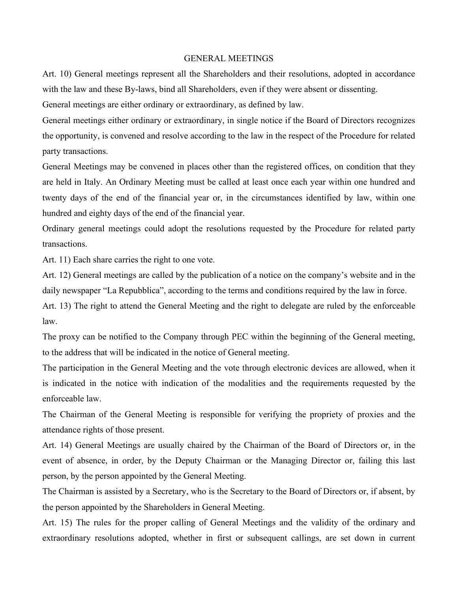#### GENERAL MEETINGS

Art. 10) General meetings represent all the Shareholders and their resolutions, adopted in accordance with the law and these By-laws, bind all Shareholders, even if they were absent or dissenting.

General meetings are either ordinary or extraordinary, as defined by law.

General meetings either ordinary or extraordinary, in single notice if the Board of Directors recognizes the opportunity, is convened and resolve according to the law in the respect of the Procedure for related party transactions.

General Meetings may be convened in places other than the registered offices, on condition that they are held in Italy. An Ordinary Meeting must be called at least once each year within one hundred and twenty days of the end of the financial year or, in the circumstances identified by law, within one hundred and eighty days of the end of the financial year.

Ordinary general meetings could adopt the resolutions requested by the Procedure for related party transactions.

Art. 11) Each share carries the right to one vote.

Art. 12) General meetings are called by the publication of a notice on the company's website and in the daily newspaper "La Repubblica", according to the terms and conditions required by the law in force.

Art. 13) The right to attend the General Meeting and the right to delegate are ruled by the enforceable law.

The proxy can be notified to the Company through PEC within the beginning of the General meeting, to the address that will be indicated in the notice of General meeting.

The participation in the General Meeting and the vote through electronic devices are allowed, when it is indicated in the notice with indication of the modalities and the requirements requested by the enforceable law.

The Chairman of the General Meeting is responsible for verifying the propriety of proxies and the attendance rights of those present.

Art. 14) General Meetings are usually chaired by the Chairman of the Board of Directors or, in the event of absence, in order, by the Deputy Chairman or the Managing Director or, failing this last person, by the person appointed by the General Meeting.

The Chairman is assisted by a Secretary, who is the Secretary to the Board of Directors or, if absent, by the person appointed by the Shareholders in General Meeting.

Art. 15) The rules for the proper calling of General Meetings and the validity of the ordinary and extraordinary resolutions adopted, whether in first or subsequent callings, are set down in current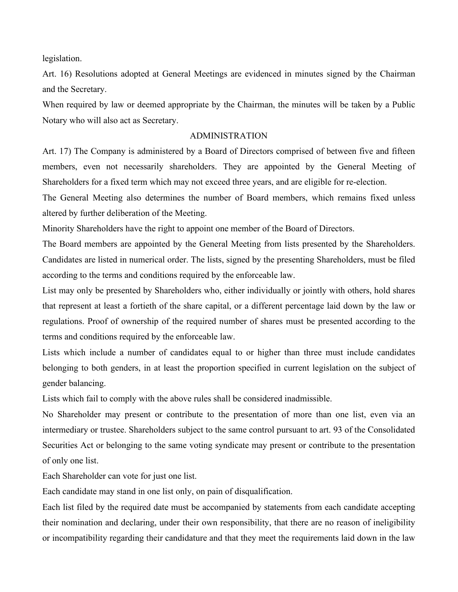legislation.

Art. 16) Resolutions adopted at General Meetings are evidenced in minutes signed by the Chairman and the Secretary.

When required by law or deemed appropriate by the Chairman, the minutes will be taken by a Public Notary who will also act as Secretary.

# ADMINISTRATION

Art. 17) The Company is administered by a Board of Directors comprised of between five and fifteen members, even not necessarily shareholders. They are appointed by the General Meeting of Shareholders for a fixed term which may not exceed three years, and are eligible for re-election.

The General Meeting also determines the number of Board members, which remains fixed unless altered by further deliberation of the Meeting.

Minority Shareholders have the right to appoint one member of the Board of Directors.

The Board members are appointed by the General Meeting from lists presented by the Shareholders. Candidates are listed in numerical order. The lists, signed by the presenting Shareholders, must be filed according to the terms and conditions required by the enforceable law.

List may only be presented by Shareholders who, either individually or jointly with others, hold shares that represent at least a fortieth of the share capital, or a different percentage laid down by the law or regulations. Proof of ownership of the required number of shares must be presented according to the terms and conditions required by the enforceable law.

Lists which include a number of candidates equal to or higher than three must include candidates belonging to both genders, in at least the proportion specified in current legislation on the subject of gender balancing.

Lists which fail to comply with the above rules shall be considered inadmissible.

No Shareholder may present or contribute to the presentation of more than one list, even via an intermediary or trustee. Shareholders subject to the same control pursuant to art. 93 of the Consolidated Securities Act or belonging to the same voting syndicate may present or contribute to the presentation of only one list.

Each Shareholder can vote for just one list.

Each candidate may stand in one list only, on pain of disqualification.

Each list filed by the required date must be accompanied by statements from each candidate accepting their nomination and declaring, under their own responsibility, that there are no reason of ineligibility or incompatibility regarding their candidature and that they meet the requirements laid down in the law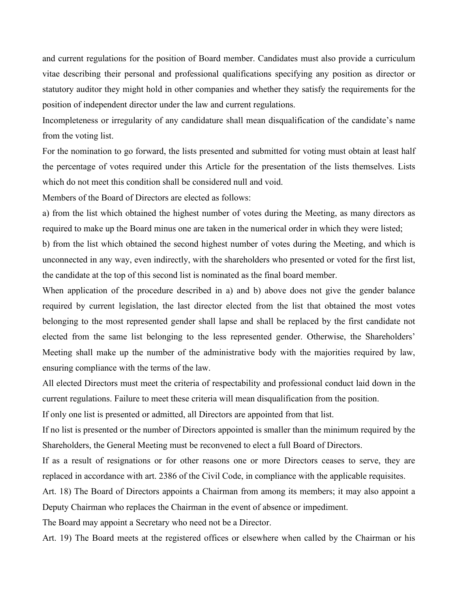and current regulations for the position of Board member. Candidates must also provide a curriculum vitae describing their personal and professional qualifications specifying any position as director or statutory auditor they might hold in other companies and whether they satisfy the requirements for the position of independent director under the law and current regulations.

Incompleteness or irregularity of any candidature shall mean disqualification of the candidate's name from the voting list.

For the nomination to go forward, the lists presented and submitted for voting must obtain at least half the percentage of votes required under this Article for the presentation of the lists themselves. Lists which do not meet this condition shall be considered null and void.

Members of the Board of Directors are elected as follows:

a) from the list which obtained the highest number of votes during the Meeting, as many directors as required to make up the Board minus one are taken in the numerical order in which they were listed;

b) from the list which obtained the second highest number of votes during the Meeting, and which is unconnected in any way, even indirectly, with the shareholders who presented or voted for the first list, the candidate at the top of this second list is nominated as the final board member.

When application of the procedure described in a) and b) above does not give the gender balance required by current legislation, the last director elected from the list that obtained the most votes belonging to the most represented gender shall lapse and shall be replaced by the first candidate not elected from the same list belonging to the less represented gender. Otherwise, the Shareholders' Meeting shall make up the number of the administrative body with the majorities required by law, ensuring compliance with the terms of the law.

All elected Directors must meet the criteria of respectability and professional conduct laid down in the current regulations. Failure to meet these criteria will mean disqualification from the position.

If only one list is presented or admitted, all Directors are appointed from that list.

If no list is presented or the number of Directors appointed is smaller than the minimum required by the Shareholders, the General Meeting must be reconvened to elect a full Board of Directors.

If as a result of resignations or for other reasons one or more Directors ceases to serve, they are replaced in accordance with art. 2386 of the Civil Code, in compliance with the applicable requisites.

Art. 18) The Board of Directors appoints a Chairman from among its members; it may also appoint a Deputy Chairman who replaces the Chairman in the event of absence or impediment.

The Board may appoint a Secretary who need not be a Director.

Art. 19) The Board meets at the registered offices or elsewhere when called by the Chairman or his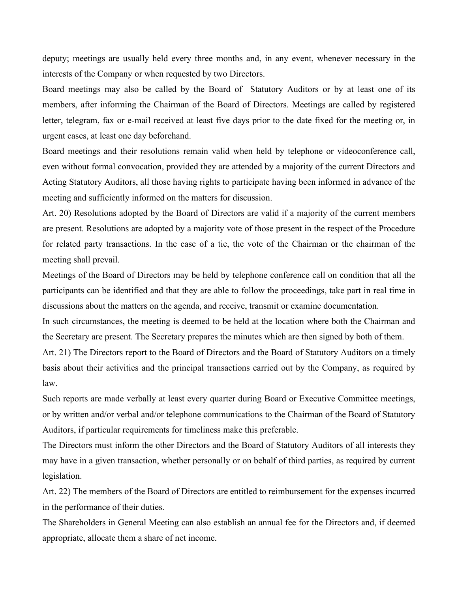deputy; meetings are usually held every three months and, in any event, whenever necessary in the interests of the Company or when requested by two Directors.

Board meetings may also be called by the Board of Statutory Auditors or by at least one of its members, after informing the Chairman of the Board of Directors. Meetings are called by registered letter, telegram, fax or e-mail received at least five days prior to the date fixed for the meeting or, in urgent cases, at least one day beforehand.

Board meetings and their resolutions remain valid when held by telephone or videoconference call, even without formal convocation, provided they are attended by a majority of the current Directors and Acting Statutory Auditors, all those having rights to participate having been informed in advance of the meeting and sufficiently informed on the matters for discussion.

Art. 20) Resolutions adopted by the Board of Directors are valid if a majority of the current members are present. Resolutions are adopted by a majority vote of those present in the respect of the Procedure for related party transactions. In the case of a tie, the vote of the Chairman or the chairman of the meeting shall prevail.

Meetings of the Board of Directors may be held by telephone conference call on condition that all the participants can be identified and that they are able to follow the proceedings, take part in real time in discussions about the matters on the agenda, and receive, transmit or examine documentation.

In such circumstances, the meeting is deemed to be held at the location where both the Chairman and the Secretary are present. The Secretary prepares the minutes which are then signed by both of them.

Art. 21) The Directors report to the Board of Directors and the Board of Statutory Auditors on a timely basis about their activities and the principal transactions carried out by the Company, as required by law.

Such reports are made verbally at least every quarter during Board or Executive Committee meetings, or by written and/or verbal and/or telephone communications to the Chairman of the Board of Statutory Auditors, if particular requirements for timeliness make this preferable.

The Directors must inform the other Directors and the Board of Statutory Auditors of all interests they may have in a given transaction, whether personally or on behalf of third parties, as required by current legislation.

Art. 22) The members of the Board of Directors are entitled to reimbursement for the expenses incurred in the performance of their duties.

The Shareholders in General Meeting can also establish an annual fee for the Directors and, if deemed appropriate, allocate them a share of net income.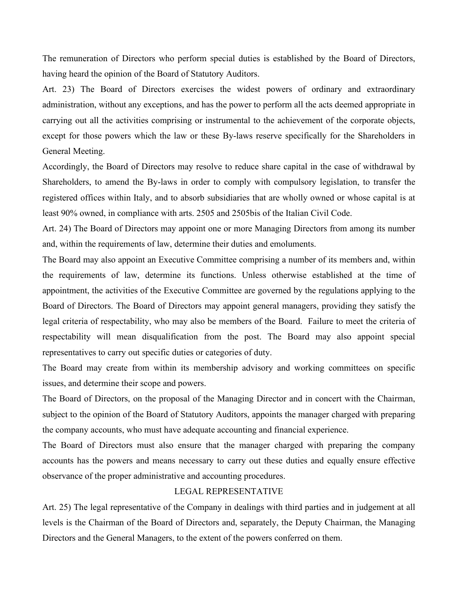The remuneration of Directors who perform special duties is established by the Board of Directors, having heard the opinion of the Board of Statutory Auditors.

Art. 23) The Board of Directors exercises the widest powers of ordinary and extraordinary administration, without any exceptions, and has the power to perform all the acts deemed appropriate in carrying out all the activities comprising or instrumental to the achievement of the corporate objects, except for those powers which the law or these By-laws reserve specifically for the Shareholders in General Meeting.

Accordingly, the Board of Directors may resolve to reduce share capital in the case of withdrawal by Shareholders, to amend the By-laws in order to comply with compulsory legislation, to transfer the registered offices within Italy, and to absorb subsidiaries that are wholly owned or whose capital is at least 90% owned, in compliance with arts. 2505 and 2505bis of the Italian Civil Code.

Art. 24) The Board of Directors may appoint one or more Managing Directors from among its number and, within the requirements of law, determine their duties and emoluments.

The Board may also appoint an Executive Committee comprising a number of its members and, within the requirements of law, determine its functions. Unless otherwise established at the time of appointment, the activities of the Executive Committee are governed by the regulations applying to the Board of Directors. The Board of Directors may appoint general managers, providing they satisfy the legal criteria of respectability, who may also be members of the Board. Failure to meet the criteria of respectability will mean disqualification from the post. The Board may also appoint special representatives to carry out specific duties or categories of duty.

The Board may create from within its membership advisory and working committees on specific issues, and determine their scope and powers.

The Board of Directors, on the proposal of the Managing Director and in concert with the Chairman, subject to the opinion of the Board of Statutory Auditors, appoints the manager charged with preparing the company accounts, who must have adequate accounting and financial experience.

The Board of Directors must also ensure that the manager charged with preparing the company accounts has the powers and means necessary to carry out these duties and equally ensure effective observance of the proper administrative and accounting procedures.

#### LEGAL REPRESENTATIVE

Art. 25) The legal representative of the Company in dealings with third parties and in judgement at all levels is the Chairman of the Board of Directors and, separately, the Deputy Chairman, the Managing Directors and the General Managers, to the extent of the powers conferred on them.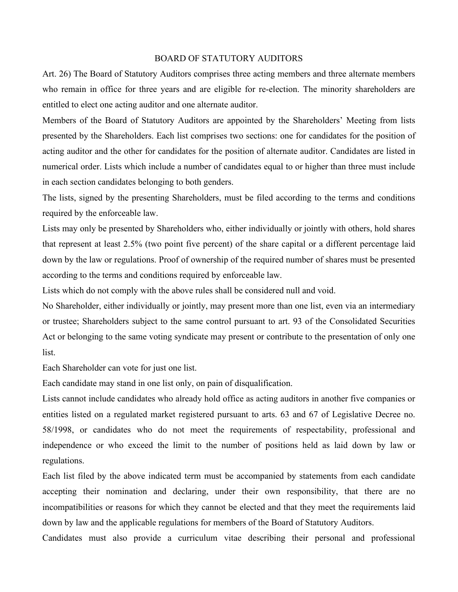### BOARD OF STATUTORY AUDITORS

Art. 26) The Board of Statutory Auditors comprises three acting members and three alternate members who remain in office for three years and are eligible for re-election. The minority shareholders are entitled to elect one acting auditor and one alternate auditor.

Members of the Board of Statutory Auditors are appointed by the Shareholders' Meeting from lists presented by the Shareholders. Each list comprises two sections: one for candidates for the position of acting auditor and the other for candidates for the position of alternate auditor. Candidates are listed in numerical order. Lists which include a number of candidates equal to or higher than three must include in each section candidates belonging to both genders.

The lists, signed by the presenting Shareholders, must be filed according to the terms and conditions required by the enforceable law.

Lists may only be presented by Shareholders who, either individually or jointly with others, hold shares that represent at least 2.5% (two point five percent) of the share capital or a different percentage laid down by the law or regulations. Proof of ownership of the required number of shares must be presented according to the terms and conditions required by enforceable law.

Lists which do not comply with the above rules shall be considered null and void.

No Shareholder, either individually or jointly, may present more than one list, even via an intermediary or trustee; Shareholders subject to the same control pursuant to art. 93 of the Consolidated Securities Act or belonging to the same voting syndicate may present or contribute to the presentation of only one list.

Each Shareholder can vote for just one list.

Each candidate may stand in one list only, on pain of disqualification.

Lists cannot include candidates who already hold office as acting auditors in another five companies or entities listed on a regulated market registered pursuant to arts. 63 and 67 of Legislative Decree no. 58/1998, or candidates who do not meet the requirements of respectability, professional and independence or who exceed the limit to the number of positions held as laid down by law or regulations.

Each list filed by the above indicated term must be accompanied by statements from each candidate accepting their nomination and declaring, under their own responsibility, that there are no incompatibilities or reasons for which they cannot be elected and that they meet the requirements laid down by law and the applicable regulations for members of the Board of Statutory Auditors.

Candidates must also provide a curriculum vitae describing their personal and professional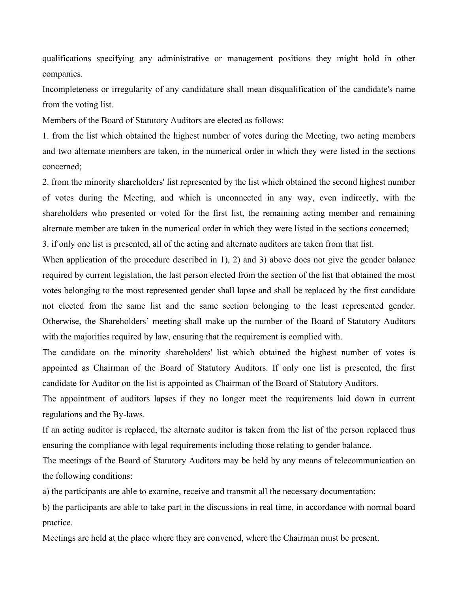qualifications specifying any administrative or management positions they might hold in other companies.

Incompleteness or irregularity of any candidature shall mean disqualification of the candidate's name from the voting list.

Members of the Board of Statutory Auditors are elected as follows:

1. from the list which obtained the highest number of votes during the Meeting, two acting members and two alternate members are taken, in the numerical order in which they were listed in the sections concerned;

2. from the minority shareholders' list represented by the list which obtained the second highest number of votes during the Meeting, and which is unconnected in any way, even indirectly, with the shareholders who presented or voted for the first list, the remaining acting member and remaining alternate member are taken in the numerical order in which they were listed in the sections concerned;

3. if only one list is presented, all of the acting and alternate auditors are taken from that list.

When application of the procedure described in 1), 2) and 3) above does not give the gender balance required by current legislation, the last person elected from the section of the list that obtained the most votes belonging to the most represented gender shall lapse and shall be replaced by the first candidate not elected from the same list and the same section belonging to the least represented gender. Otherwise, the Shareholders' meeting shall make up the number of the Board of Statutory Auditors with the majorities required by law, ensuring that the requirement is complied with.

The candidate on the minority shareholders' list which obtained the highest number of votes is appointed as Chairman of the Board of Statutory Auditors. If only one list is presented, the first candidate for Auditor on the list is appointed as Chairman of the Board of Statutory Auditors.

The appointment of auditors lapses if they no longer meet the requirements laid down in current regulations and the By-laws.

If an acting auditor is replaced, the alternate auditor is taken from the list of the person replaced thus ensuring the compliance with legal requirements including those relating to gender balance.

The meetings of the Board of Statutory Auditors may be held by any means of telecommunication on the following conditions:

a) the participants are able to examine, receive and transmit all the necessary documentation;

b) the participants are able to take part in the discussions in real time, in accordance with normal board practice.

Meetings are held at the place where they are convened, where the Chairman must be present.